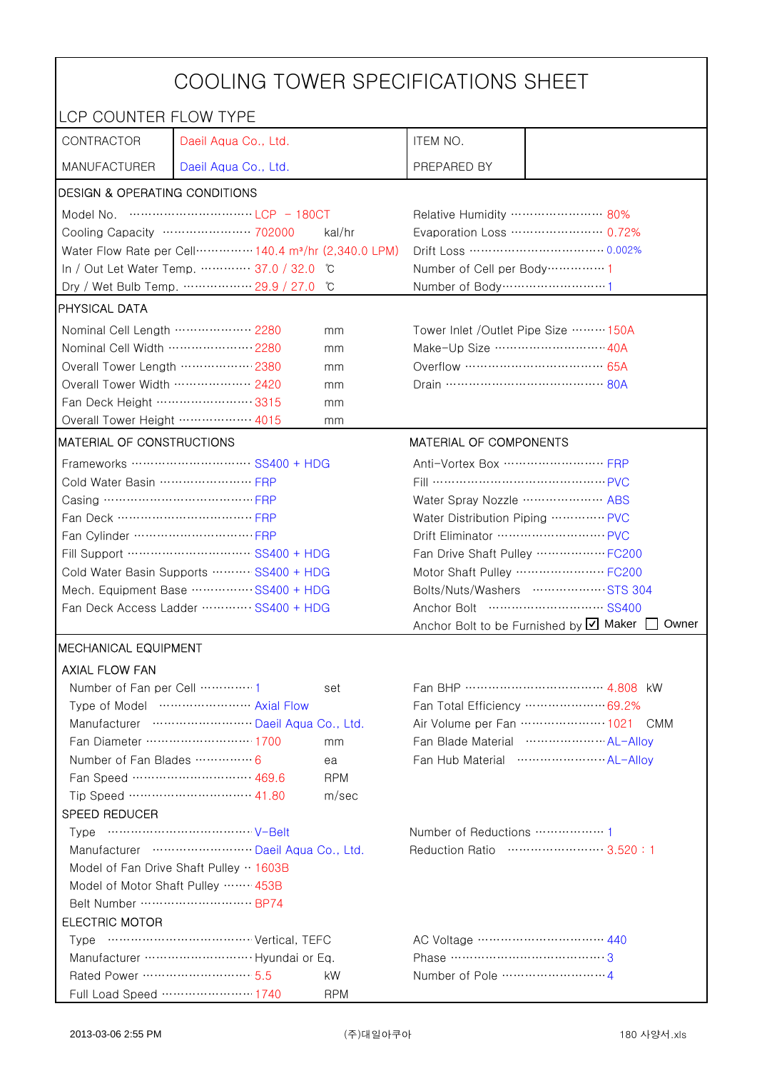| COOLING TOWER SPECIFICATIONS SHEET                                     |                                                                                |                                                            |                                                    |                                                      |  |
|------------------------------------------------------------------------|--------------------------------------------------------------------------------|------------------------------------------------------------|----------------------------------------------------|------------------------------------------------------|--|
| LCP COUNTER FLOW TYPE                                                  |                                                                                |                                                            |                                                    |                                                      |  |
| CONTRACTOR                                                             | Daeil Aqua Co., Ltd.                                                           |                                                            | ITEM NO.                                           |                                                      |  |
| <b>MANUFACTURER</b>                                                    | Daeil Aqua Co., Ltd.                                                           |                                                            | PREPARED BY                                        |                                                      |  |
| <b>DESIGN &amp; OPERATING CONDITIONS</b>                               |                                                                                |                                                            |                                                    |                                                      |  |
|                                                                        |                                                                                |                                                            | Relative Humidity …………………… 80%                     |                                                      |  |
|                                                                        | Cooling Capacity ………………… 702000                                                | kal/hr                                                     |                                                    | Evaporation Loss ………………… 0.72%                       |  |
|                                                                        | Water Flow Rate per Cell ·············· 140.4 m <sup>3</sup> /hr (2,340.0 LPM) |                                                            |                                                    |                                                      |  |
|                                                                        | In / Out Let Water Temp.  37.0 / 32.0                                          | C°                                                         | Number of Cell per Body ··············· 1          |                                                      |  |
|                                                                        | Dry / Wet Bulb Temp.  29.9 / 27.0                                              | °C                                                         | Number of Body ··································1 |                                                      |  |
| <b>PHYSICAL DATA</b>                                                   |                                                                                |                                                            |                                                    |                                                      |  |
| Nominal Cell Length  2280                                              |                                                                                | mm                                                         | Tower Inlet /Outlet Pipe Size  150A                |                                                      |  |
| Nominal Cell Width  2280                                               |                                                                                | mm                                                         | Make-Up Size ······························ 40A    |                                                      |  |
| Overall Tower Length ……………… 2380                                       |                                                                                | mm                                                         | Overflow …………………………… 65A                           |                                                      |  |
| Overall Tower Width  2420                                              |                                                                                | mm                                                         |                                                    |                                                      |  |
| Fan Deck Height …………………… 3315                                          |                                                                                | mm                                                         |                                                    |                                                      |  |
| Overall Tower Height  4015                                             |                                                                                | mm                                                         |                                                    |                                                      |  |
| MATERIAL OF CONSTRUCTIONS                                              |                                                                                |                                                            | MATERIAL OF COMPONENTS                             |                                                      |  |
|                                                                        | Frameworks  SS400 + HDG                                                        |                                                            | Anti-Vortex Box …………………… FRP                       |                                                      |  |
| Cold Water Basin  FRP                                                  |                                                                                |                                                            | Fill …………………………………… PVC                            |                                                      |  |
| Casing …………………………………… FRP                                              |                                                                                |                                                            | Water Spray Nozzle ………………… ABS                     |                                                      |  |
| Fan Deck …………………………… FRP                                               |                                                                                | Water Distribution Piping  PVC                             |                                                    |                                                      |  |
|                                                                        |                                                                                |                                                            |                                                    |                                                      |  |
| Fill Support ………………………… SS400 + HDG                                    |                                                                                | Fan Drive Shaft Pulley  FC200<br>Motor Shaft Pulley  FC200 |                                                    |                                                      |  |
| Cold Water Basin Supports  SS400 + HDG                                 |                                                                                |                                                            | Bolts/Nuts/Washers  STS 304                        |                                                      |  |
| Mech. Equipment Base SS400 + HDG                                       |                                                                                |                                                            |                                                    |                                                      |  |
| Fan Deck Access Ladder ………… SS400 + HDG                                |                                                                                | Anchor Bolt to be Furnished by Ø Maker [<br>Owner          |                                                    |                                                      |  |
| <b>IMECHANICAL EQUIPMENT</b>                                           |                                                                                |                                                            |                                                    |                                                      |  |
| <b>AXIAL FLOW FAN</b>                                                  |                                                                                |                                                            |                                                    |                                                      |  |
| Number of Fan per Cell  1                                              |                                                                                | set                                                        |                                                    |                                                      |  |
| Type of Model  Axial Flow                                              |                                                                                |                                                            | Fan Total Efficiency  69.2%                        |                                                      |  |
| Manufacturer  Daeil Aqua Co., Ltd.                                     |                                                                                |                                                            | Air Volume per Fan  1021 CMM                       |                                                      |  |
| Fan Diameter ……………………… 1700<br>mm                                      |                                                                                | Fan Blade Material ······················· AL-Allov        |                                                    |                                                      |  |
| Number of Fan Blades  6                                                |                                                                                | ea                                                         |                                                    | Fan Hub Material ·························· AL-Alloy |  |
|                                                                        | Fan Speed ………………………… 469.6                                                     | <b>RPM</b>                                                 |                                                    |                                                      |  |
|                                                                        | Tip Speed ………………………… 41.80                                                     | m/sec                                                      |                                                    |                                                      |  |
| SPEED REDUCER                                                          |                                                                                |                                                            |                                                    |                                                      |  |
|                                                                        |                                                                                |                                                            | Number of Reductions  1                            |                                                      |  |
| Manufacturer  Daeil Aqua Co., Ltd.<br>Reduction Ratio …………………… 3.520:1 |                                                                                |                                                            |                                                    |                                                      |  |
| Model of Fan Drive Shaft Pulley  1603B                                 |                                                                                |                                                            |                                                    |                                                      |  |
| Model of Motor Shaft Pulley  453B                                      |                                                                                |                                                            |                                                    |                                                      |  |
| Belt Number  BP74                                                      |                                                                                |                                                            |                                                    |                                                      |  |
| <b>ELECTRIC MOTOR</b>                                                  |                                                                                |                                                            |                                                    |                                                      |  |
|                                                                        |                                                                                |                                                            | Phase ……………………………………3                              |                                                      |  |
| Rated Power ………………………… 5.5                                             |                                                                                | kW                                                         |                                                    |                                                      |  |
|                                                                        | Full Load Speed ………………… 1740                                                   | <b>RPM</b>                                                 |                                                    |                                                      |  |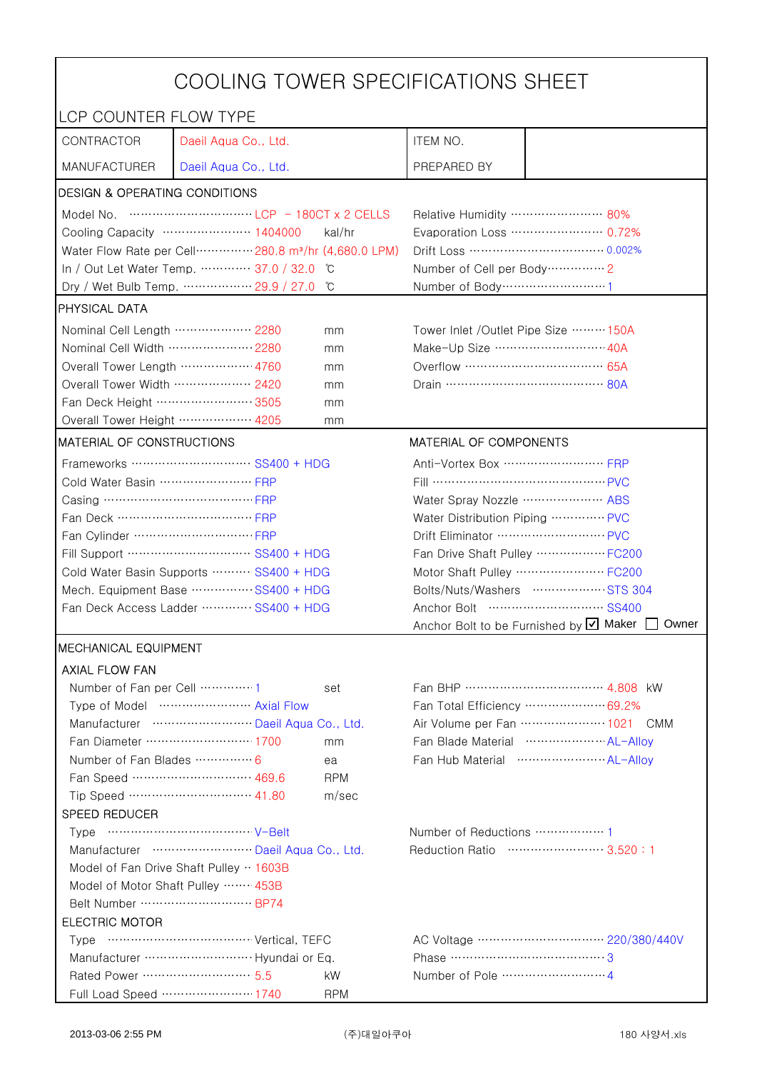| COOLING TOWER SPECIFICATIONS SHEET                                                                                                                                                                                                                                                                                                   |                                                                  |                                          |                                                     |                                                                    |  |
|--------------------------------------------------------------------------------------------------------------------------------------------------------------------------------------------------------------------------------------------------------------------------------------------------------------------------------------|------------------------------------------------------------------|------------------------------------------|-----------------------------------------------------|--------------------------------------------------------------------|--|
| LCP COUNTER FLOW TYPE                                                                                                                                                                                                                                                                                                                |                                                                  |                                          |                                                     |                                                                    |  |
| CONTRACTOR                                                                                                                                                                                                                                                                                                                           | Daeil Aqua Co., Ltd.                                             |                                          | ITEM NO.                                            |                                                                    |  |
| <b>MANUFACTURER</b>                                                                                                                                                                                                                                                                                                                  | Daeil Aqua Co., Ltd.                                             |                                          | PREPARED BY                                         |                                                                    |  |
| <b>DESIGN &amp; OPERATING CONDITIONS</b>                                                                                                                                                                                                                                                                                             |                                                                  |                                          |                                                     |                                                                    |  |
| Model No. $\cdots$ $\cdots$ $\cdots$ $\cdots$ $\cdots$ $\cdots$ $\cdots$ $\cdots$ $\cdots$ $\cdots$ $\cdots$ $\cdots$ $\cdots$ $\cdots$ $\cdots$ $\cdots$ $\cdots$ $\cdots$ $\cdots$ $\cdots$ $\cdots$ $\cdots$ $\cdots$ $\cdots$ $\cdots$ $\cdots$ $\cdots$ $\cdots$ $\cdots$ $\cdots$ $\cdots$ $\cdots$ $\cdots$ $\cdots$ $\cdots$ |                                                                  |                                          | Relative Humidity …………………… 80%                      |                                                                    |  |
|                                                                                                                                                                                                                                                                                                                                      | Cooling Capacity ………………… 1404000                                 | kal/hr                                   |                                                     | Evaporation Loss ………………… 0.72%                                     |  |
| Water Flow Rate per Cell ·············· 280.8 m <sup>3</sup> /hr (4,680.0 LPM)                                                                                                                                                                                                                                                       |                                                                  |                                          |                                                     |                                                                    |  |
|                                                                                                                                                                                                                                                                                                                                      | In / Out Let Water Temp.  37.0 / 32.0                            | ĬС                                       | Number of Cell per Body ··············· 2           |                                                                    |  |
| Dry / Wet Bulb Temp.  29.9 / 27.0<br>°C                                                                                                                                                                                                                                                                                              |                                                                  |                                          | Number of Body ······························1      |                                                                    |  |
| <b>PHYSICAL DATA</b>                                                                                                                                                                                                                                                                                                                 |                                                                  |                                          |                                                     |                                                                    |  |
| Nominal Cell Length  2280<br>mm                                                                                                                                                                                                                                                                                                      |                                                                  |                                          | Tower Inlet /Outlet Pipe Size ……… 150A              |                                                                    |  |
| Nominal Cell Width  2280                                                                                                                                                                                                                                                                                                             |                                                                  | mm                                       | Make-Up Size ……………………… 40A                          |                                                                    |  |
| Overall Tower Length ……………… 4760                                                                                                                                                                                                                                                                                                     |                                                                  | mm                                       | Overflow …………………………… 65A                            |                                                                    |  |
| Overall Tower Width  2420                                                                                                                                                                                                                                                                                                            |                                                                  | mm                                       |                                                     |                                                                    |  |
| Fan Deck Height …………………… 3505                                                                                                                                                                                                                                                                                                        |                                                                  | mm                                       |                                                     |                                                                    |  |
| Overall Tower Height  4205                                                                                                                                                                                                                                                                                                           |                                                                  | mm                                       |                                                     |                                                                    |  |
| MATERIAL OF CONSTRUCTIONS                                                                                                                                                                                                                                                                                                            |                                                                  |                                          | MATERIAL OF COMPONENTS                              |                                                                    |  |
|                                                                                                                                                                                                                                                                                                                                      | Frameworks ………………………… SS400 + HDG                                |                                          | Anti-Vortex Box ······························· FRP |                                                                    |  |
| Cold Water Basin  FRP                                                                                                                                                                                                                                                                                                                |                                                                  |                                          | Fill …………………………………… PVC                             |                                                                    |  |
| Casing ………………………………… FRP                                                                                                                                                                                                                                                                                                             |                                                                  |                                          | Water Spray Nozzle ………………… ABS                      |                                                                    |  |
| Fan Deck …………………………… FRP                                                                                                                                                                                                                                                                                                             |                                                                  | Water Distribution Piping  PVC           |                                                     |                                                                    |  |
|                                                                                                                                                                                                                                                                                                                                      |                                                                  | Drift Eliminator ……………………… PVC           |                                                     |                                                                    |  |
| Fill Support ………………………… SS400 + HDG                                                                                                                                                                                                                                                                                                  |                                                                  | Fan Drive Shaft Pulley  FC200            |                                                     |                                                                    |  |
| Cold Water Basin Supports  SS400 + HDG                                                                                                                                                                                                                                                                                               |                                                                  |                                          | Motor Shaft Pulley  FC200                           |                                                                    |  |
| Mech. Equipment Base  SS400 + HDG                                                                                                                                                                                                                                                                                                    |                                                                  | Bolts/Nuts/Washers  STS 304              |                                                     |                                                                    |  |
| Fan Deck Access Ladder  SS400 + HDG                                                                                                                                                                                                                                                                                                  |                                                                  | Anchor Bolt to be Furnished by Ø Maker [ |                                                     |                                                                    |  |
|                                                                                                                                                                                                                                                                                                                                      |                                                                  |                                          |                                                     | Owner                                                              |  |
| <b>MECHANICAL EQUIPMENT</b>                                                                                                                                                                                                                                                                                                          |                                                                  |                                          |                                                     |                                                                    |  |
| <b>AXIAL FLOW FAN</b>                                                                                                                                                                                                                                                                                                                |                                                                  |                                          |                                                     |                                                                    |  |
| Number of Fan per Cell  1                                                                                                                                                                                                                                                                                                            |                                                                  | set                                      |                                                     |                                                                    |  |
|                                                                                                                                                                                                                                                                                                                                      | Type of Model  Axial Flow                                        |                                          |                                                     | Fan Total Efficiency ………………… 69.2%<br>Air Volume per Fan  1021 CMM |  |
|                                                                                                                                                                                                                                                                                                                                      | Manufacturer  Daeil Aqua Co., Ltd.<br>Fan Diameter …………………… 1700 |                                          |                                                     | Fan Blade Material ······················ AL-Allov                 |  |
| Number of Fan Blades  6                                                                                                                                                                                                                                                                                                              |                                                                  | mm                                       |                                                     | Fan Hub Material ·························· AL-Alloy               |  |
|                                                                                                                                                                                                                                                                                                                                      | Fan Speed ………………………… 469.6                                       | ea<br><b>RPM</b>                         |                                                     |                                                                    |  |
|                                                                                                                                                                                                                                                                                                                                      | Tip Speed ………………………… 41.80                                       | m/sec                                    |                                                     |                                                                    |  |
| SPEED REDUCER                                                                                                                                                                                                                                                                                                                        |                                                                  |                                          |                                                     |                                                                    |  |
|                                                                                                                                                                                                                                                                                                                                      |                                                                  |                                          |                                                     |                                                                    |  |
| Manufacturer  Daeil Aqua Co., Ltd.                                                                                                                                                                                                                                                                                                   |                                                                  |                                          | Reduction Ratio …………………… 3.520:1                    |                                                                    |  |
| Model of Fan Drive Shaft Pulley · 1603B                                                                                                                                                                                                                                                                                              |                                                                  |                                          |                                                     |                                                                    |  |
| Model of Motor Shaft Pulley  453B                                                                                                                                                                                                                                                                                                    |                                                                  |                                          |                                                     |                                                                    |  |
|                                                                                                                                                                                                                                                                                                                                      |                                                                  |                                          |                                                     |                                                                    |  |
| <b>ELECTRIC MOTOR</b>                                                                                                                                                                                                                                                                                                                |                                                                  |                                          |                                                     |                                                                    |  |
|                                                                                                                                                                                                                                                                                                                                      |                                                                  |                                          |                                                     |                                                                    |  |
| Phase ……………………………………3                                                                                                                                                                                                                                                                                                                |                                                                  |                                          |                                                     |                                                                    |  |
| Rated Power ………………………… 5.5                                                                                                                                                                                                                                                                                                           |                                                                  | kW                                       |                                                     |                                                                    |  |
|                                                                                                                                                                                                                                                                                                                                      | Full Load Speed ………………… 1740                                     | <b>RPM</b>                               |                                                     |                                                                    |  |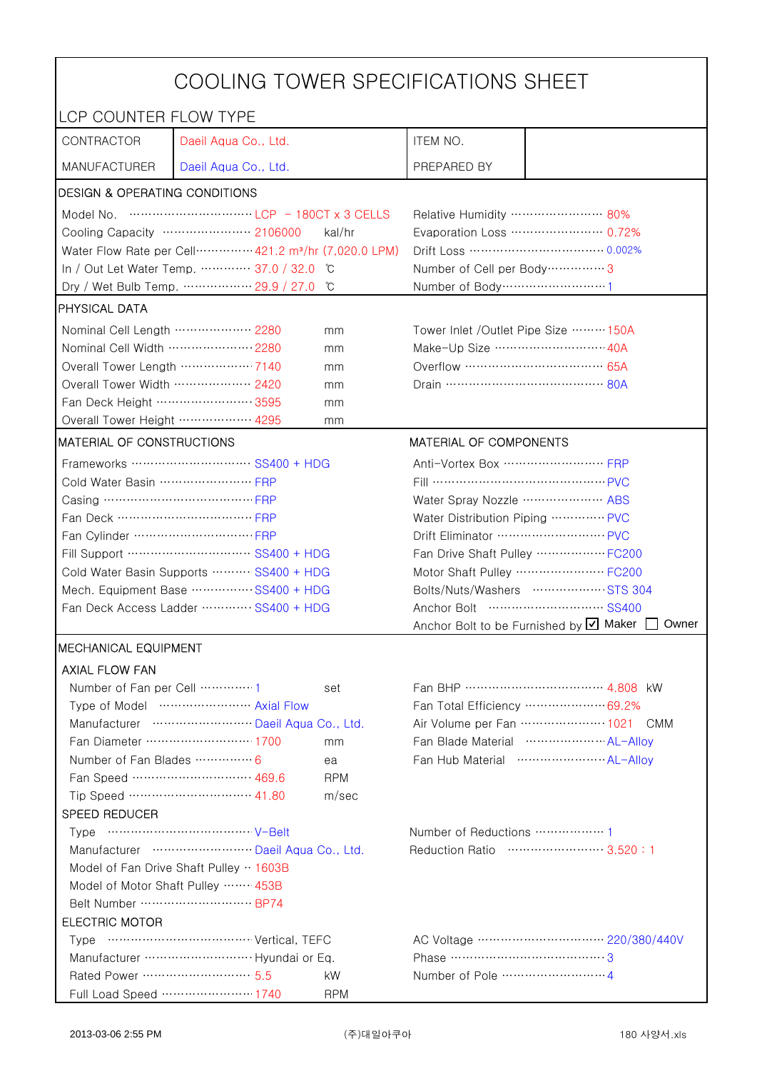| COOLING TOWER SPECIFICATIONS SHEET      |                                                                                                                                                                                                                                                                                                                                      |                                |                                                     |                                                 |  |
|-----------------------------------------|--------------------------------------------------------------------------------------------------------------------------------------------------------------------------------------------------------------------------------------------------------------------------------------------------------------------------------------|--------------------------------|-----------------------------------------------------|-------------------------------------------------|--|
| LCP COUNTER FLOW TYPE                   |                                                                                                                                                                                                                                                                                                                                      |                                |                                                     |                                                 |  |
| CONTRACTOR                              | Daeil Aqua Co., Ltd.                                                                                                                                                                                                                                                                                                                 |                                | ITEM NO.                                            |                                                 |  |
| <b>MANUFACTURER</b>                     | Daeil Aqua Co., Ltd.                                                                                                                                                                                                                                                                                                                 |                                | PREPARED BY                                         |                                                 |  |
| DESIGN & OPERATING CONDITIONS           |                                                                                                                                                                                                                                                                                                                                      |                                |                                                     |                                                 |  |
|                                         | Model No. $\cdots$ $\cdots$ $\cdots$ $\cdots$ $\cdots$ $\cdots$ $\cdots$ $\cdots$ $\cdots$ $\cdots$ $\cdots$ $\cdots$ $\cdots$ $\cdots$ $\cdots$ $\cdots$ $\cdots$ $\cdots$ $\cdots$ $\cdots$ $\cdots$ $\cdots$ $\cdots$ $\cdots$ $\cdots$ $\cdots$ $\cdots$ $\cdots$ $\cdots$ $\cdots$ $\cdots$ $\cdots$ $\cdots$ $\cdots$ $\cdots$ |                                | Relative Humidity …………………… 80%                      |                                                 |  |
|                                         | Cooling Capacity ………………… 2106000                                                                                                                                                                                                                                                                                                     | kal/hr                         |                                                     | Evaporation Loss ………………… 0.72%                  |  |
|                                         | Water Flow Rate per Cell ·············· 421.2 m <sup>3</sup> /hr (7,020.0 LPM)                                                                                                                                                                                                                                                       |                                | Drift Loss …………………………… 0.002%                       |                                                 |  |
|                                         | In / Out Let Water Temp.  37.0 / 32.0<br>C                                                                                                                                                                                                                                                                                           |                                | Number of Cell per Body ················ 3          |                                                 |  |
|                                         | Dry / Wet Bulb Temp.  29.9 / 27.0                                                                                                                                                                                                                                                                                                    | °C                             | Number of Body ······························1      |                                                 |  |
| <b>PHYSICAL DATA</b>                    |                                                                                                                                                                                                                                                                                                                                      |                                |                                                     |                                                 |  |
| Nominal Cell Length ……………… 2280         |                                                                                                                                                                                                                                                                                                                                      | mm                             | Tower Inlet / Outlet Pipe Size  150A                |                                                 |  |
| Nominal Cell Width  2280                |                                                                                                                                                                                                                                                                                                                                      | mm                             | Make-Up Size ……………………… 40A                          |                                                 |  |
| Overall Tower Length  7140              |                                                                                                                                                                                                                                                                                                                                      | mm                             |                                                     |                                                 |  |
| Overall Tower Width ……………… 2420         |                                                                                                                                                                                                                                                                                                                                      | mm                             |                                                     |                                                 |  |
| Fan Deck Height …………………… 3595           |                                                                                                                                                                                                                                                                                                                                      | mm                             |                                                     |                                                 |  |
| Overall Tower Height  4295              |                                                                                                                                                                                                                                                                                                                                      | mm                             |                                                     |                                                 |  |
| <b>MATERIAL OF CONSTRUCTIONS</b>        |                                                                                                                                                                                                                                                                                                                                      |                                | MATERIAL OF COMPONENTS                              |                                                 |  |
|                                         | Frameworks ……………………… SS400 + HDG                                                                                                                                                                                                                                                                                                     |                                | Anti-Vortex Box ······························· FRP |                                                 |  |
| Cold Water Basin  FRP                   |                                                                                                                                                                                                                                                                                                                                      |                                | Fill …………………………………… PVC                             |                                                 |  |
| Casing ………………………………… FRP                |                                                                                                                                                                                                                                                                                                                                      |                                | Water Spray Nozzle ………………… ABS                      |                                                 |  |
| Fan Deck …………………………… FRP                |                                                                                                                                                                                                                                                                                                                                      |                                | Water Distribution Piping  PVC                      |                                                 |  |
|                                         |                                                                                                                                                                                                                                                                                                                                      | Drift Eliminator ……………………… PVC |                                                     |                                                 |  |
| Fill Support ………………………… SS400 + HDG     |                                                                                                                                                                                                                                                                                                                                      | Fan Drive Shaft Pulley  FC200  |                                                     |                                                 |  |
| Cold Water Basin Supports  SS400 + HDG  |                                                                                                                                                                                                                                                                                                                                      | Motor Shaft Pulley  FC200      |                                                     |                                                 |  |
| Mech. Equipment Base SS400 + HDG        |                                                                                                                                                                                                                                                                                                                                      | Bolts/Nuts/Washers  STS 304    |                                                     |                                                 |  |
| Fan Deck Access Ladder ………… SS400 + HDG |                                                                                                                                                                                                                                                                                                                                      |                                |                                                     |                                                 |  |
|                                         |                                                                                                                                                                                                                                                                                                                                      |                                |                                                     | Anchor Bolt to be Furnished by Ø Maker<br>Owner |  |
| <b>MECHANICAL EQUIPMENT</b>             |                                                                                                                                                                                                                                                                                                                                      |                                |                                                     |                                                 |  |
| <b>AXIAL FLOW FAN</b>                   |                                                                                                                                                                                                                                                                                                                                      |                                |                                                     |                                                 |  |
| Number of Fan per Cell 1                |                                                                                                                                                                                                                                                                                                                                      | set                            |                                                     |                                                 |  |
|                                         | Type of Model  Axial Flow                                                                                                                                                                                                                                                                                                            |                                |                                                     | Fan Total Efficiency  69.2%                     |  |
|                                         | Manufacturer  Daeil Aqua Co., Ltd.                                                                                                                                                                                                                                                                                                   |                                |                                                     | Air Volume per Fan  1021 CMM                    |  |
|                                         | Fan Diameter ……………………… 1700                                                                                                                                                                                                                                                                                                          | mm                             |                                                     | Fan Blade Material  AL-Allov                    |  |
| Number of Fan Blades  6                 |                                                                                                                                                                                                                                                                                                                                      | ea                             |                                                     |                                                 |  |
|                                         | Fan Speed ………………………… 469.6                                                                                                                                                                                                                                                                                                           | <b>RPM</b>                     |                                                     |                                                 |  |
|                                         | Tip Speed ………………………… 41.80                                                                                                                                                                                                                                                                                                           | m/sec                          |                                                     |                                                 |  |
| SPEED REDUCER                           |                                                                                                                                                                                                                                                                                                                                      |                                |                                                     |                                                 |  |
|                                         |                                                                                                                                                                                                                                                                                                                                      |                                |                                                     |                                                 |  |
| Manufacturer  Daeil Aqua Co., Ltd.      |                                                                                                                                                                                                                                                                                                                                      |                                |                                                     | Reduction Ratio …………………… 3.520:1                |  |
| Model of Fan Drive Shaft Pulley · 1603B |                                                                                                                                                                                                                                                                                                                                      |                                |                                                     |                                                 |  |
| Model of Motor Shaft Pulley  453B       |                                                                                                                                                                                                                                                                                                                                      |                                |                                                     |                                                 |  |
| Belt Number  BP74                       |                                                                                                                                                                                                                                                                                                                                      |                                |                                                     |                                                 |  |
| <b>ELECTRIC MOTOR</b>                   |                                                                                                                                                                                                                                                                                                                                      |                                |                                                     |                                                 |  |
|                                         |                                                                                                                                                                                                                                                                                                                                      |                                |                                                     |                                                 |  |
|                                         | Manufacturer  Hyundai or Eq.                                                                                                                                                                                                                                                                                                         |                                | Phase ……………………………………3                               |                                                 |  |
| Rated Power ………………………… 5.5              |                                                                                                                                                                                                                                                                                                                                      | kW                             |                                                     |                                                 |  |
|                                         | Full Load Speed ………………… 1740                                                                                                                                                                                                                                                                                                         | <b>RPM</b>                     |                                                     |                                                 |  |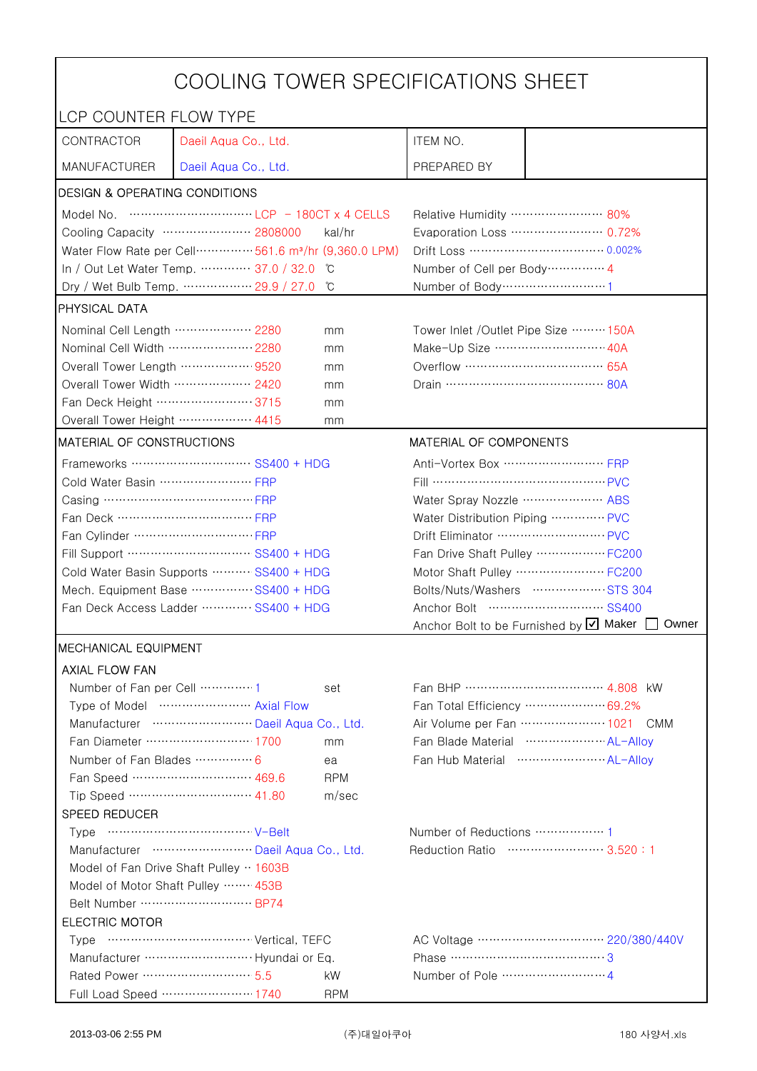| COOLING TOWER SPECIFICATIONS SHEET                    |                                                                                  |                                  |                                                     |                                                              |  |
|-------------------------------------------------------|----------------------------------------------------------------------------------|----------------------------------|-----------------------------------------------------|--------------------------------------------------------------|--|
| LCP COUNTER FLOW TYPE                                 |                                                                                  |                                  |                                                     |                                                              |  |
| CONTRACTOR                                            | Daeil Aqua Co., Ltd.                                                             |                                  | ITEM NO.                                            |                                                              |  |
| <b>MANUFACTURER</b>                                   | Daeil Aqua Co., Ltd.                                                             |                                  | PREPARED BY                                         |                                                              |  |
| DESIGN & OPERATING CONDITIONS                         |                                                                                  |                                  |                                                     |                                                              |  |
|                                                       |                                                                                  |                                  | Relative Humidity …………………… 80%                      |                                                              |  |
|                                                       | Cooling Capacity ………………… 2808000                                                 | kal/hr                           |                                                     | Evaporation Loss ………………… 0.72%                               |  |
|                                                       | Water Flow Rate per Cell ················ 561.6 m <sup>3</sup> /hr (9,360.0 LPM) |                                  |                                                     |                                                              |  |
|                                                       | In / Out Let Water Temp.  37.0 / 32.0                                            | °C                               | Number of Cell per Body ··············· 4           |                                                              |  |
|                                                       | Dry / Wet Bulb Temp.  29.9 / 27.0                                                | °C                               | Number of Body ······························1      |                                                              |  |
| <b>PHYSICAL DATA</b>                                  |                                                                                  |                                  |                                                     |                                                              |  |
| Nominal Cell Length ……………… 2280<br>mm                 |                                                                                  |                                  | Tower Inlet / Outlet Pipe Size  150A                |                                                              |  |
| Nominal Cell Width  2280                              |                                                                                  | mm                               | Make-Up Size ……………………… 40A                          |                                                              |  |
| Overall Tower Length  9520                            |                                                                                  | mm                               |                                                     |                                                              |  |
| Overall Tower Width ……………… 2420                       |                                                                                  | mm                               |                                                     |                                                              |  |
| Fan Deck Height …………………… 3715                         |                                                                                  | mm                               |                                                     |                                                              |  |
| Overall Tower Height ……………… 4415                      |                                                                                  | mm                               |                                                     |                                                              |  |
| <b>MATERIAL OF CONSTRUCTIONS</b>                      |                                                                                  |                                  | MATERIAL OF COMPONENTS                              |                                                              |  |
|                                                       | Frameworks ……………………… SS400 + HDG                                                 |                                  | Anti-Vortex Box ······························· FRP |                                                              |  |
| Cold Water Basin  FRP                                 |                                                                                  |                                  | Fill …………………………………… PVC                             |                                                              |  |
| Casing ………………………………… FRP                              |                                                                                  |                                  | Water Spray Nozzle ………………… ABS                      |                                                              |  |
| Fan Deck …………………………… FRP                              |                                                                                  | Water Distribution Piping  PVC   |                                                     |                                                              |  |
|                                                       |                                                                                  | Drift Eliminator ……………………… PVC   |                                                     |                                                              |  |
| Fill Support ………………………… SS400 + HDG                   |                                                                                  | Fan Drive Shaft Pulley  FC200    |                                                     |                                                              |  |
| Cold Water Basin Supports  SS400 + HDG                |                                                                                  | Motor Shaft Pulley  FC200        |                                                     |                                                              |  |
| Mech. Equipment Base SS400 + HDG                      |                                                                                  | Bolts/Nuts/Washers  STS 304      |                                                     |                                                              |  |
| Fan Deck Access Ladder ………… SS400 + HDG               |                                                                                  |                                  |                                                     |                                                              |  |
|                                                       |                                                                                  |                                  |                                                     | Anchor Bolt to be Furnished by Ø Maker<br>Owner              |  |
| <b>MECHANICAL EQUIPMENT</b>                           |                                                                                  |                                  |                                                     |                                                              |  |
| <b>AXIAL FLOW FAN</b>                                 |                                                                                  |                                  |                                                     |                                                              |  |
| Number of Fan per Cell 1                              |                                                                                  | set                              |                                                     |                                                              |  |
|                                                       | Type of Model  Axial Flow                                                        |                                  |                                                     | Fan Total Efficiency  69.2%                                  |  |
|                                                       | Manufacturer  Daeil Aqua Co., Ltd.<br>Fan Diameter ……………………… 1700                |                                  |                                                     | Air Volume per Fan  1021 CMM<br>Fan Blade Material  AL-Allov |  |
| Number of Fan Blades  6                               |                                                                                  | mm                               |                                                     |                                                              |  |
|                                                       | Fan Speed ………………………… 469.6                                                       | ea<br><b>RPM</b>                 |                                                     |                                                              |  |
|                                                       | Tip Speed ………………………… 41.80                                                       | m/sec                            |                                                     |                                                              |  |
| SPEED REDUCER                                         |                                                                                  |                                  |                                                     |                                                              |  |
|                                                       |                                                                                  |                                  |                                                     |                                                              |  |
| Manufacturer  Daeil Aqua Co., Ltd.                    |                                                                                  | Reduction Ratio …………………… 3.520:1 |                                                     |                                                              |  |
| Model of Fan Drive Shaft Pulley · 1603B               |                                                                                  |                                  |                                                     |                                                              |  |
| Model of Motor Shaft Pulley  453B                     |                                                                                  |                                  |                                                     |                                                              |  |
| Belt Number  BP74                                     |                                                                                  |                                  |                                                     |                                                              |  |
| <b>ELECTRIC MOTOR</b>                                 |                                                                                  |                                  |                                                     |                                                              |  |
|                                                       |                                                                                  |                                  |                                                     |                                                              |  |
| Manufacturer  Hyundai or Eq.<br>Phase ……………………………………3 |                                                                                  |                                  |                                                     |                                                              |  |
| Rated Power ………………………… 5.5                            |                                                                                  | kW                               |                                                     |                                                              |  |
|                                                       | Full Load Speed ………………… 1740                                                     | <b>RPM</b>                       |                                                     |                                                              |  |